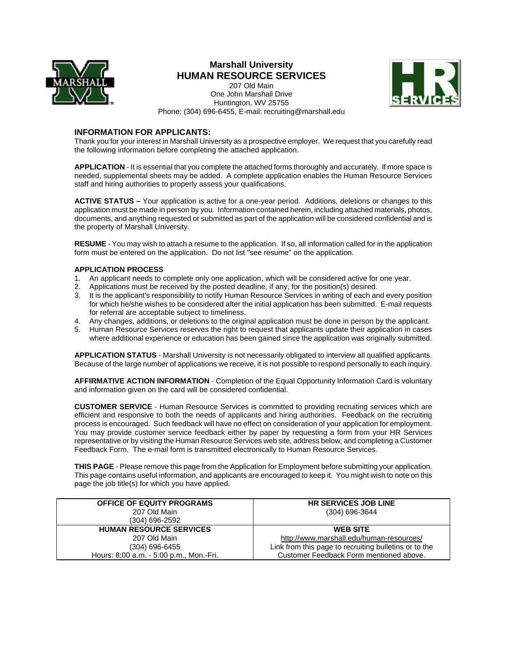

## **Marshall University HUMAN RESOURCE SERVICES**

207 Old Main One John Marshall Drive Huntington, WV 25755 Phone: (304) 696-6455, E-mail: recruiting@marshall.edu



### **INFORMATION FOR APPLICANTS:**

Thank you for your interest in Marshall University as a prospective employer. We request that you carefully read the following information before completing the attached application.

**APPLICATION** - It is essential that you complete the attached forms thoroughly and accurately. If more space is needed, supplemental sheets may be added. A complete application enables the Human Resource Services staff and hiring authorities to properly assess your qualifications.

**ACTIVE STATUS –** Your application is active for a one-year period. Additions, deletions or changes to this application must be made in person by you. Information contained herein, including attached materials, photos, documents, and anything requested or submitted as part of the application will be considered confidential and is the property of Marshall University.

**RESUME** - You may wish to attach a resume to the application. If so, all information called for in the application form must be entered on the application. Do not list "see resume" on the application.

### **APPLICATION PROCESS**

- 1. An applicant needs to complete only one application, which will be considered active for one year.
- 2. Applications must be received by the posted deadline, if any, for the position(s) desired.
- 3. It is the applicant's responsibility to notify Human Resource Services in writing of each and every position for which he/she wishes to be considered after the initial application has been submitted. E-mail requests for referral are acceptable subject to timeliness.
- 4. Any changes, additions, or deletions to the original application must be done in person by the applicant.
- 5. Human Resource Services reserves the right to request that applicants update their application in cases where additional experience or education has been gained since the application was originally submitted.

**APPLICATION STATUS** - Marshall University is not necessarily obligated to interview all qualified applicants. Because of the large number of applications we receive, it is not possible to respond personally to each inquiry.

**AFFIRMATIVE ACTION INFORMATION** - Completion of the Equal Opportunity Information Card is voluntary and information given on the card will be considered confidential.

**CUSTOMER SERVICE** - Human Resource Services is committed to providing recruiting services which are efficient and responsive to both the needs of applicants and hiring authorities. Feedback on the recruiting process is encouraged. Such feedback will have no effect on consideration of your application for employment. You may provide customer service feedback either by paper by requesting a form from your HR Services representative or by visiting the Human Resource Services web site, address below, and completing a Customer Feedback Form. The e-mail form is transmitted electronically to Human Resource Services.

**THIS PAGE** - Please remove this page from the Application for Employment before submitting your application. This page contains useful information, and applicants are encouraged to keep it. You might wish to note on this page the job title(s) for which you have applied.

| <b>OFFICE OF EQUITY PROGRAMS</b>        | <b>HR SERVICES JOB LINE</b>                           |
|-----------------------------------------|-------------------------------------------------------|
| 207 Old Main                            | $(304)$ 696-3644                                      |
| (304) 696-2592                          |                                                       |
| <b>HUMAN RESOURCE SERVICES</b>          | <b>WEB SITE</b>                                       |
| 207 Old Main                            | http://www.marshall.edu/human-resources/              |
| (304) 696-6455                          | Link from this page to recruiting bulletins or to the |
| Hours: 8:00 a.m. - 5:00 p.m., Mon.-Fri. | Customer Feedback Form mentioned above.               |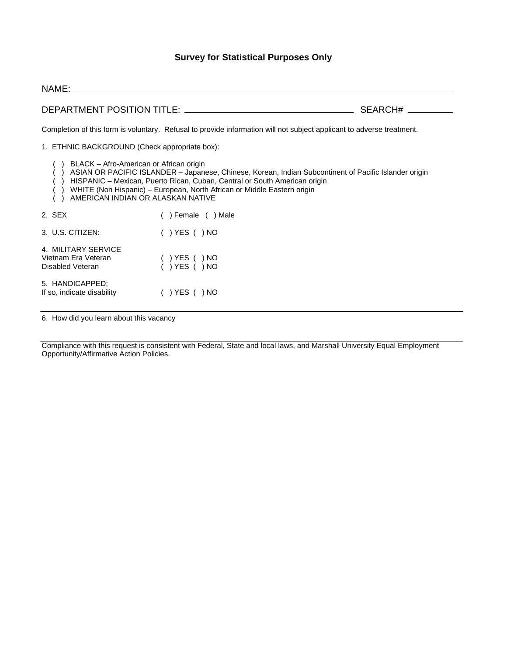# **Survey for Statistical Purposes Only**

| NAME:                                                                                                                 | and the state of the state of the state of the state of the state of the state of                                                                                                                                                                             |                    |  |  |  |  |  |  |
|-----------------------------------------------------------------------------------------------------------------------|---------------------------------------------------------------------------------------------------------------------------------------------------------------------------------------------------------------------------------------------------------------|--------------------|--|--|--|--|--|--|
|                                                                                                                       |                                                                                                                                                                                                                                                               | SEARCH# __________ |  |  |  |  |  |  |
| Completion of this form is voluntary. Refusal to provide information will not subject applicant to adverse treatment. |                                                                                                                                                                                                                                                               |                    |  |  |  |  |  |  |
|                                                                                                                       | 1. ETHNIC BACKGROUND (Check appropriate box):                                                                                                                                                                                                                 |                    |  |  |  |  |  |  |
| BLACK – Afro-American or African origin<br>AMERICAN INDIAN OR ALASKAN NATIVE                                          | ASIAN OR PACIFIC ISLANDER - Japanese, Chinese, Korean, Indian Subcontinent of Pacific Islander origin<br>HISPANIC - Mexican, Puerto Rican, Cuban, Central or South American origin<br>WHITE (Non Hispanic) - European, North African or Middle Eastern origin |                    |  |  |  |  |  |  |
| 2. SEX                                                                                                                | ) Female () Male                                                                                                                                                                                                                                              |                    |  |  |  |  |  |  |
| 3. U.S. CITIZEN:                                                                                                      | $( )$ YES $( )$ NO                                                                                                                                                                                                                                            |                    |  |  |  |  |  |  |
| 4. MILITARY SERVICE<br>Vietnam Era Veteran<br>Disabled Veteran                                                        | $( )$ YES $( )$ NO<br>() YES () NO                                                                                                                                                                                                                            |                    |  |  |  |  |  |  |
| 5. HANDICAPPED;<br>If so, indicate disability                                                                         | $( )$ YES $( )$ NO                                                                                                                                                                                                                                            |                    |  |  |  |  |  |  |

6. How did you learn about this vacancy

Compliance with this request is consistent with Federal, State and local laws, and Marshall University Equal Employment Opportunity/Affirmative Action Policies.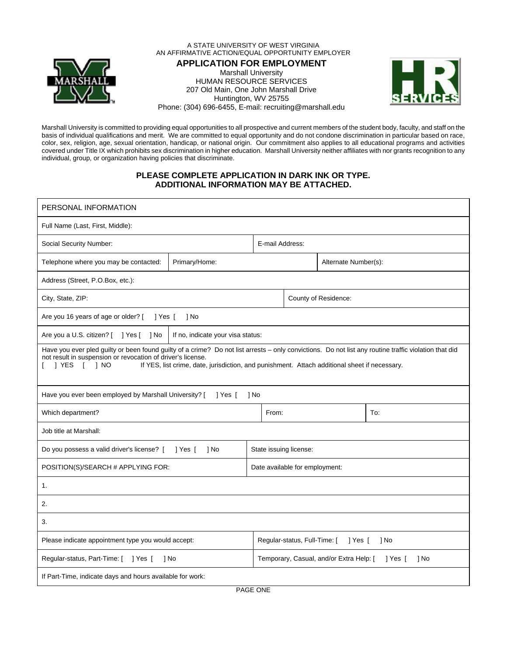

#### A STATE UNIVERSITY OF WEST VIRGINIA AN AFFIRMATIVE ACTION/EQUAL OPPORTUNITY EMPLOYER

**APPLICATION FOR EMPLOYMENT**  Marshall University HUMAN RESOURCE SERVICES 207 Old Main, One John Marshall Drive Huntington, WV 25755 Phone: (304) 696-6455, E-mail: recruiting@marshall.edu



Marshall University is committed to providing equal opportunities to all prospective and current members of the student body, faculty, and staff on the basis of individual qualifications and merit. We are committed to equal opportunity and do not condone discrimination in particular based on race, color, sex, religion, age, sexual orientation, handicap, or national origin. Our commitment also applies to all educational programs and activities covered under Title IX which prohibits sex discrimination in higher education. Marshall University neither affiliates with nor grants recognition to any individual, group, or organization having policies that discriminate.

## **PLEASE COMPLETE APPLICATION IN DARK INK OR TYPE. ADDITIONAL INFORMATION MAY BE ATTACHED.**

| PERSONAL INFORMATION                                                                                                                                                                                                                                                                                                                |                                   |                                                 |                                |  |     |  |  |
|-------------------------------------------------------------------------------------------------------------------------------------------------------------------------------------------------------------------------------------------------------------------------------------------------------------------------------------|-----------------------------------|-------------------------------------------------|--------------------------------|--|-----|--|--|
| Full Name (Last, First, Middle):                                                                                                                                                                                                                                                                                                    |                                   |                                                 |                                |  |     |  |  |
| Social Security Number:                                                                                                                                                                                                                                                                                                             |                                   |                                                 | E-mail Address:                |  |     |  |  |
| Telephone where you may be contacted:                                                                                                                                                                                                                                                                                               | Primary/Home:                     |                                                 | Alternate Number(s):           |  |     |  |  |
| Address (Street, P.O.Box, etc.):                                                                                                                                                                                                                                                                                                    |                                   |                                                 |                                |  |     |  |  |
| City, State, ZIP:                                                                                                                                                                                                                                                                                                                   |                                   | County of Residence:                            |                                |  |     |  |  |
| Are you 16 years of age or older? [<br>l Yes [                                                                                                                                                                                                                                                                                      | 1 No                              |                                                 |                                |  |     |  |  |
| Are you a U.S. citizen? [ ] Yes [ ] No                                                                                                                                                                                                                                                                                              | If no, indicate your visa status: |                                                 |                                |  |     |  |  |
| Have you ever pled guilty or been found guilty of a crime? Do not list arrests - only convictions. Do not list any routine traffic violation that did<br>not result in suspension or revocation of driver's license.<br>JYES [ ]NO<br>If YES, list crime, date, jurisdiction, and punishment. Attach additional sheet if necessary. |                                   |                                                 |                                |  |     |  |  |
| Have you ever been employed by Marshall University? [                                                                                                                                                                                                                                                                               | 1 Yes [                           | 1 No                                            |                                |  |     |  |  |
| Which department?                                                                                                                                                                                                                                                                                                                   |                                   | From:                                           |                                |  | To: |  |  |
| Job title at Marshall:                                                                                                                                                                                                                                                                                                              |                                   |                                                 |                                |  |     |  |  |
| Do you possess a valid driver's license? [                                                                                                                                                                                                                                                                                          | 1 Yes [<br>1 No                   |                                                 | State issuing license:         |  |     |  |  |
| POSITION(S)/SEARCH # APPLYING FOR:                                                                                                                                                                                                                                                                                                  |                                   |                                                 | Date available for employment: |  |     |  |  |
| 1.                                                                                                                                                                                                                                                                                                                                  |                                   |                                                 |                                |  |     |  |  |
| 2.                                                                                                                                                                                                                                                                                                                                  |                                   |                                                 |                                |  |     |  |  |
| 3.                                                                                                                                                                                                                                                                                                                                  |                                   |                                                 |                                |  |     |  |  |
| Please indicate appointment type you would accept:                                                                                                                                                                                                                                                                                  |                                   | Regular-status, Full-Time: [<br>] Yes [<br>1 No |                                |  |     |  |  |
| Regular-status, Part-Time: [ ] Yes [<br>Temporary, Casual, and/or Extra Help: [<br>1 No<br>1 No<br>1 Yes [                                                                                                                                                                                                                          |                                   |                                                 |                                |  |     |  |  |
| If Part-Time, indicate days and hours available for work:                                                                                                                                                                                                                                                                           |                                   |                                                 |                                |  |     |  |  |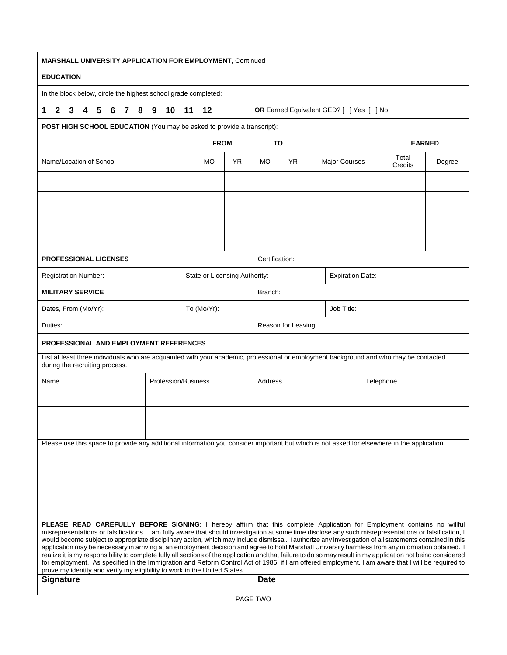| <b>MARSHALL UNIVERSITY APPLICATION FOR EMPLOYMENT, Continued</b>                                                                                                                                                                                                                                                                                                                                                                                                        |   |     |  |             |                     |         |  |    |                               |     |                                                                               |                      |  |                                          |  |                                                                                                                                                                                                                                                                                                                    |        |
|-------------------------------------------------------------------------------------------------------------------------------------------------------------------------------------------------------------------------------------------------------------------------------------------------------------------------------------------------------------------------------------------------------------------------------------------------------------------------|---|-----|--|-------------|---------------------|---------|--|----|-------------------------------|-----|-------------------------------------------------------------------------------|----------------------|--|------------------------------------------|--|--------------------------------------------------------------------------------------------------------------------------------------------------------------------------------------------------------------------------------------------------------------------------------------------------------------------|--------|
| <b>EDUCATION</b>                                                                                                                                                                                                                                                                                                                                                                                                                                                        |   |     |  |             |                     |         |  |    |                               |     |                                                                               |                      |  |                                          |  |                                                                                                                                                                                                                                                                                                                    |        |
| In the block below, circle the highest school grade completed:                                                                                                                                                                                                                                                                                                                                                                                                          |   |     |  |             |                     |         |  |    |                               |     |                                                                               |                      |  |                                          |  |                                                                                                                                                                                                                                                                                                                    |        |
| $\mathbf{2}$<br>1                                                                                                                                                                                                                                                                                                                                                                                                                                                       | 3 | 4 5 |  | 6 7 8 9 10  |                     |         |  | 11 | 12                            |     |                                                                               |                      |  | OR Earned Equivalent GED? [ ] Yes [ ] No |  |                                                                                                                                                                                                                                                                                                                    |        |
|                                                                                                                                                                                                                                                                                                                                                                                                                                                                         |   |     |  |             |                     |         |  |    |                               |     | <b>POST HIGH SCHOOL EDUCATION</b> (You may be asked to provide a transcript): |                      |  |                                          |  |                                                                                                                                                                                                                                                                                                                    |        |
|                                                                                                                                                                                                                                                                                                                                                                                                                                                                         |   |     |  |             |                     |         |  |    | <b>FROM</b>                   |     | TO                                                                            |                      |  |                                          |  | <b>EARNED</b>                                                                                                                                                                                                                                                                                                      |        |
| Name/Location of School                                                                                                                                                                                                                                                                                                                                                                                                                                                 |   |     |  |             |                     |         |  |    | <b>MO</b>                     | YR. | <b>MO</b>                                                                     | YR.                  |  | <b>Major Courses</b>                     |  | Total<br>Credits                                                                                                                                                                                                                                                                                                   | Degree |
|                                                                                                                                                                                                                                                                                                                                                                                                                                                                         |   |     |  |             |                     |         |  |    |                               |     |                                                                               |                      |  |                                          |  |                                                                                                                                                                                                                                                                                                                    |        |
|                                                                                                                                                                                                                                                                                                                                                                                                                                                                         |   |     |  |             |                     |         |  |    |                               |     |                                                                               |                      |  |                                          |  |                                                                                                                                                                                                                                                                                                                    |        |
|                                                                                                                                                                                                                                                                                                                                                                                                                                                                         |   |     |  |             |                     |         |  |    |                               |     |                                                                               |                      |  |                                          |  |                                                                                                                                                                                                                                                                                                                    |        |
|                                                                                                                                                                                                                                                                                                                                                                                                                                                                         |   |     |  |             |                     |         |  |    |                               |     |                                                                               |                      |  |                                          |  |                                                                                                                                                                                                                                                                                                                    |        |
| <b>PROFESSIONAL LICENSES</b>                                                                                                                                                                                                                                                                                                                                                                                                                                            |   |     |  |             |                     |         |  |    |                               |     | Certification:                                                                |                      |  |                                          |  |                                                                                                                                                                                                                                                                                                                    |        |
| <b>Registration Number:</b>                                                                                                                                                                                                                                                                                                                                                                                                                                             |   |     |  |             |                     |         |  |    | State or Licensing Authority: |     |                                                                               |                      |  | <b>Expiration Date:</b>                  |  |                                                                                                                                                                                                                                                                                                                    |        |
| <b>MILITARY SERVICE</b>                                                                                                                                                                                                                                                                                                                                                                                                                                                 |   |     |  |             |                     | Branch: |  |    |                               |     |                                                                               |                      |  |                                          |  |                                                                                                                                                                                                                                                                                                                    |        |
| Dates, From (Mo/Yr):                                                                                                                                                                                                                                                                                                                                                                                                                                                    |   |     |  | To (Mo/Yr): | Job Title:          |         |  |    |                               |     |                                                                               |                      |  |                                          |  |                                                                                                                                                                                                                                                                                                                    |        |
| Duties:                                                                                                                                                                                                                                                                                                                                                                                                                                                                 |   |     |  |             | Reason for Leaving: |         |  |    |                               |     |                                                                               |                      |  |                                          |  |                                                                                                                                                                                                                                                                                                                    |        |
| <b>PROFESSIONAL AND EMPLOYMENT REFERENCES</b>                                                                                                                                                                                                                                                                                                                                                                                                                           |   |     |  |             |                     |         |  |    |                               |     |                                                                               |                      |  |                                          |  |                                                                                                                                                                                                                                                                                                                    |        |
| during the recruiting process.                                                                                                                                                                                                                                                                                                                                                                                                                                          |   |     |  |             |                     |         |  |    |                               |     |                                                                               |                      |  |                                          |  | List at least three individuals who are acquainted with your academic, professional or employment background and who may be contacted                                                                                                                                                                              |        |
| Name                                                                                                                                                                                                                                                                                                                                                                                                                                                                    |   |     |  |             |                     |         |  |    | Profession/Business           |     |                                                                               | Address<br>Telephone |  |                                          |  |                                                                                                                                                                                                                                                                                                                    |        |
|                                                                                                                                                                                                                                                                                                                                                                                                                                                                         |   |     |  |             |                     |         |  |    |                               |     |                                                                               |                      |  |                                          |  |                                                                                                                                                                                                                                                                                                                    |        |
|                                                                                                                                                                                                                                                                                                                                                                                                                                                                         |   |     |  |             |                     |         |  |    |                               |     |                                                                               |                      |  |                                          |  |                                                                                                                                                                                                                                                                                                                    |        |
|                                                                                                                                                                                                                                                                                                                                                                                                                                                                         |   |     |  |             |                     |         |  |    |                               |     |                                                                               |                      |  |                                          |  |                                                                                                                                                                                                                                                                                                                    |        |
|                                                                                                                                                                                                                                                                                                                                                                                                                                                                         |   |     |  |             |                     |         |  |    |                               |     |                                                                               |                      |  |                                          |  | Please use this space to provide any additional information you consider important but which is not asked for elsewhere in the application.                                                                                                                                                                        |        |
|                                                                                                                                                                                                                                                                                                                                                                                                                                                                         |   |     |  |             |                     |         |  |    |                               |     |                                                                               |                      |  |                                          |  |                                                                                                                                                                                                                                                                                                                    |        |
|                                                                                                                                                                                                                                                                                                                                                                                                                                                                         |   |     |  |             |                     |         |  |    |                               |     |                                                                               |                      |  |                                          |  |                                                                                                                                                                                                                                                                                                                    |        |
|                                                                                                                                                                                                                                                                                                                                                                                                                                                                         |   |     |  |             |                     |         |  |    |                               |     |                                                                               |                      |  |                                          |  |                                                                                                                                                                                                                                                                                                                    |        |
|                                                                                                                                                                                                                                                                                                                                                                                                                                                                         |   |     |  |             |                     |         |  |    |                               |     |                                                                               |                      |  |                                          |  |                                                                                                                                                                                                                                                                                                                    |        |
|                                                                                                                                                                                                                                                                                                                                                                                                                                                                         |   |     |  |             |                     |         |  |    |                               |     |                                                                               |                      |  |                                          |  | PLEASE READ CAREFULLY BEFORE SIGNING: I hereby affirm that this complete Application for Employment contains no willful                                                                                                                                                                                            |        |
| misrepresentations or falsifications. I am fully aware that should investigation at some time disclose any such misrepresentations or falsification, I<br>would become subject to appropriate disciplinary action, which may include dismissal. I authorize any investigation of all statements contained in this<br>application may be necessary in arriving at an employment decision and agree to hold Marshall University harmless from any information obtained. I |   |     |  |             |                     |         |  |    |                               |     |                                                                               |                      |  |                                          |  |                                                                                                                                                                                                                                                                                                                    |        |
|                                                                                                                                                                                                                                                                                                                                                                                                                                                                         |   |     |  |             |                     |         |  |    |                               |     |                                                                               |                      |  |                                          |  | realize it is my responsibility to complete fully all sections of the application and that failure to do so may result in my application not being considered<br>for employment. As specified in the Immigration and Reform Control Act of 1986, if I am offered employment, I am aware that I will be required to |        |
| prove my identity and verify my eligibility to work in the United States.                                                                                                                                                                                                                                                                                                                                                                                               |   |     |  |             |                     |         |  |    |                               |     |                                                                               |                      |  |                                          |  |                                                                                                                                                                                                                                                                                                                    |        |
| <b>Signature</b>                                                                                                                                                                                                                                                                                                                                                                                                                                                        |   |     |  |             |                     |         |  |    |                               |     | Date                                                                          |                      |  |                                          |  |                                                                                                                                                                                                                                                                                                                    |        |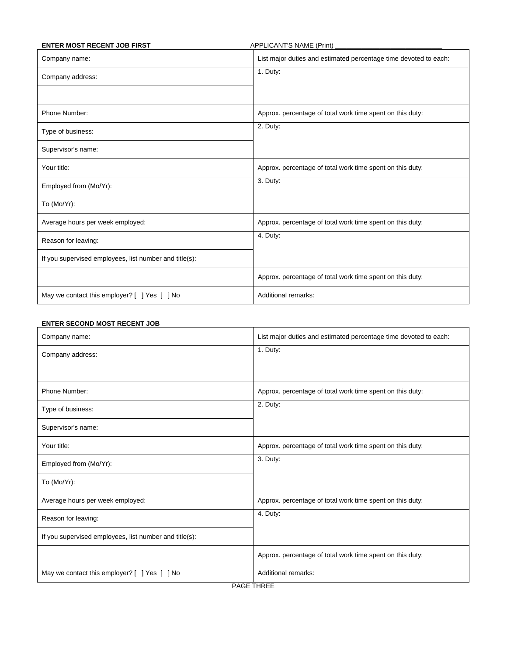| <b>ENTER MOST RECENT JOB FIRST</b>                     | APPLICANT'S NAME (Print)                                         |
|--------------------------------------------------------|------------------------------------------------------------------|
| Company name:                                          | List major duties and estimated percentage time devoted to each: |
| Company address:                                       | 1. Duty:                                                         |
|                                                        |                                                                  |
| Phone Number:                                          | Approx. percentage of total work time spent on this duty:        |
| Type of business:                                      | 2. Duty:                                                         |
| Supervisor's name:                                     |                                                                  |
| Your title:                                            | Approx. percentage of total work time spent on this duty:        |
| Employed from (Mo/Yr):                                 | 3. Duty:                                                         |
| To (Mo/Yr):                                            |                                                                  |
| Average hours per week employed:                       | Approx. percentage of total work time spent on this duty:        |
| Reason for leaving:                                    | 4. Duty:                                                         |
| If you supervised employees, list number and title(s): |                                                                  |
|                                                        | Approx. percentage of total work time spent on this duty:        |
| May we contact this employer? [ ] Yes [ ] No           | Additional remarks:                                              |

## **ENTER SECOND MOST RECENT JOB**

| Company name:                                          | List major duties and estimated percentage time devoted to each: |
|--------------------------------------------------------|------------------------------------------------------------------|
| Company address:                                       | 1. Duty:                                                         |
|                                                        |                                                                  |
| Phone Number:                                          | Approx. percentage of total work time spent on this duty:        |
| Type of business:                                      | 2. Duty:                                                         |
| Supervisor's name:                                     |                                                                  |
| Your title:                                            | Approx. percentage of total work time spent on this duty:        |
| Employed from (Mo/Yr):                                 | 3. Duty:                                                         |
| To (Mo/Yr):                                            |                                                                  |
| Average hours per week employed:                       | Approx. percentage of total work time spent on this duty:        |
| Reason for leaving:                                    | 4. Duty:                                                         |
| If you supervised employees, list number and title(s): |                                                                  |
|                                                        | Approx. percentage of total work time spent on this duty:        |
| May we contact this employer? [ ] Yes [ ] No           | Additional remarks:                                              |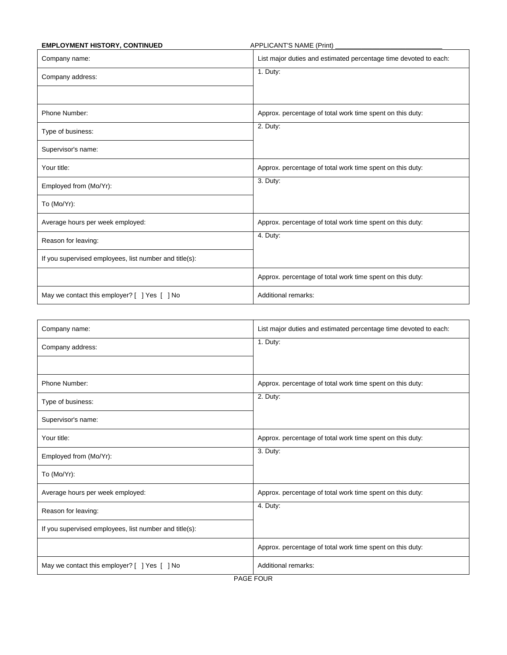| <b>EMPLOYMENT HISTORY, CONTINUED</b>                   | APPLICANT'S NAME (Print)                                         |
|--------------------------------------------------------|------------------------------------------------------------------|
| Company name:                                          | List major duties and estimated percentage time devoted to each: |
| Company address:                                       | 1. Duty:                                                         |
|                                                        |                                                                  |
| Phone Number:                                          | Approx. percentage of total work time spent on this duty:        |
| Type of business:                                      | 2. Duty:                                                         |
| Supervisor's name:                                     |                                                                  |
| Your title:                                            | Approx. percentage of total work time spent on this duty:        |
| Employed from (Mo/Yr):                                 | 3. Duty:                                                         |
| To (Mo/Yr):                                            |                                                                  |
| Average hours per week employed:                       | Approx. percentage of total work time spent on this duty:        |
| Reason for leaving:                                    | 4. Duty:                                                         |
| If you supervised employees, list number and title(s): |                                                                  |
|                                                        | Approx. percentage of total work time spent on this duty:        |
| May we contact this employer? [ ] Yes [ ] No           | Additional remarks:                                              |

| Company name:                                          | List major duties and estimated percentage time devoted to each: |
|--------------------------------------------------------|------------------------------------------------------------------|
| Company address:                                       | 1. Duty:                                                         |
|                                                        |                                                                  |
| Phone Number:                                          | Approx. percentage of total work time spent on this duty:        |
| Type of business:                                      | 2. Duty:                                                         |
| Supervisor's name:                                     |                                                                  |
| Your title:                                            | Approx. percentage of total work time spent on this duty:        |
| Employed from (Mo/Yr):                                 | 3. Duty:                                                         |
| To (Mo/Yr):                                            |                                                                  |
| Average hours per week employed:                       | Approx. percentage of total work time spent on this duty:        |
| Reason for leaving:                                    | 4. Duty:                                                         |
| If you supervised employees, list number and title(s): |                                                                  |
|                                                        | Approx. percentage of total work time spent on this duty:        |
| May we contact this employer? [ ] Yes [ ] No           | Additional remarks:                                              |

PAGE FOUR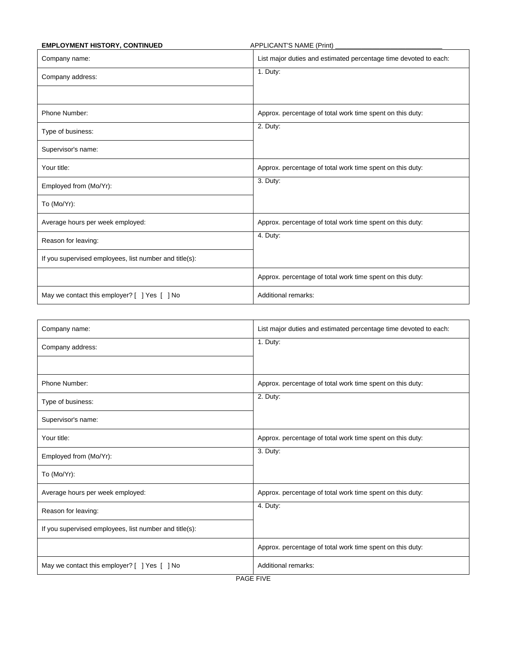| <b>EMPLOYMENT HISTORY, CONTINUED</b>                   | APPLICANT'S NAME (Print)                                         |
|--------------------------------------------------------|------------------------------------------------------------------|
| Company name:                                          | List major duties and estimated percentage time devoted to each: |
| Company address:                                       | 1. Duty:                                                         |
|                                                        |                                                                  |
| Phone Number:                                          | Approx. percentage of total work time spent on this duty:        |
| Type of business:                                      | 2. Duty:                                                         |
| Supervisor's name:                                     |                                                                  |
| Your title:                                            | Approx. percentage of total work time spent on this duty:        |
| Employed from (Mo/Yr):                                 | 3. Duty:                                                         |
| To (Mo/Yr):                                            |                                                                  |
| Average hours per week employed:                       | Approx. percentage of total work time spent on this duty:        |
| Reason for leaving:                                    | 4. Duty:                                                         |
| If you supervised employees, list number and title(s): |                                                                  |
|                                                        | Approx. percentage of total work time spent on this duty:        |
| May we contact this employer? [ ] Yes [ ] No           | Additional remarks:                                              |

| Company name:                                          | List major duties and estimated percentage time devoted to each: |
|--------------------------------------------------------|------------------------------------------------------------------|
| Company address:                                       | 1. Duty:                                                         |
|                                                        |                                                                  |
| Phone Number:                                          | Approx. percentage of total work time spent on this duty:        |
| Type of business:                                      | 2. Duty:                                                         |
| Supervisor's name:                                     |                                                                  |
| Your title:                                            | Approx. percentage of total work time spent on this duty:        |
| Employed from (Mo/Yr):                                 | 3. Duty:                                                         |
| To (Mo/Yr):                                            |                                                                  |
| Average hours per week employed:                       | Approx. percentage of total work time spent on this duty:        |
| Reason for leaving:                                    | 4. Duty:                                                         |
| If you supervised employees, list number and title(s): |                                                                  |
|                                                        | Approx. percentage of total work time spent on this duty:        |
| May we contact this employer? [ ] Yes [ ] No           | Additional remarks:                                              |

PAGE FIVE